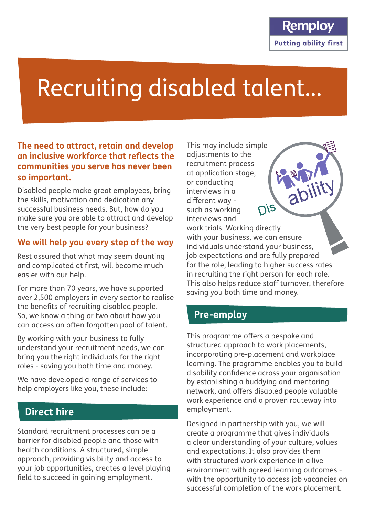abilit

# Recruiting disabled talent...

#### **The need to attract, retain and develop an inclusive workforce that reflects the communities you serve has never been so important.**

Disabled people make great employees, bring the skills, motivation and dedication any successful business needs. But, how do you make sure you are able to attract and develop the very best people for your business?

#### **We will help you every step of the way**

Rest assured that what may seem daunting and complicated at first, will become much easier with our help.

For more than 70 years, we have supported over 2,500 employers in every sector to realise the benefits of recruiting disabled people. So, we know a thing or two about how you can access an often forgotten pool of talent.

By working with your business to fully understand your recruitment needs, we can bring you the right individuals for the right roles - saving you both time and money.

We have developed a range of services to help employers like you, these include:

### **Direct hire**

Standard recruitment processes can be a barrier for disabled people and those with health conditions. A structured, simple approach, providing visibility and access to your job opportunities, creates a level playing field to succeed in gaining employment.

This may include simple adjustments to the recruitment process at application stage, or conducting interviews in a different way - **DIS** such as working interviews and

work trials. Working directly with your business, we can ensure individuals understand your business, job expectations and are fully prepared for the role, leading to higher success rates in recruiting the right person for each role. This also helps reduce staff turnover, therefore saving you both time and money.

### **Pre-employ**

This programme offers a bespoke and structured approach to work placements, incorporating pre-placement and workplace learning. The programme enables you to build disability confidence across your organisation by establishing a buddying and mentoring network, and offers disabled people valuable work experience and a proven routeway into employment.

Designed in partnership with you, we will create a programme that gives individuals a clear understanding of your culture, values and expectations. It also provides them with structured work experience in a live environment with agreed learning outcomes with the opportunity to access job vacancies on successful completion of the work placement.